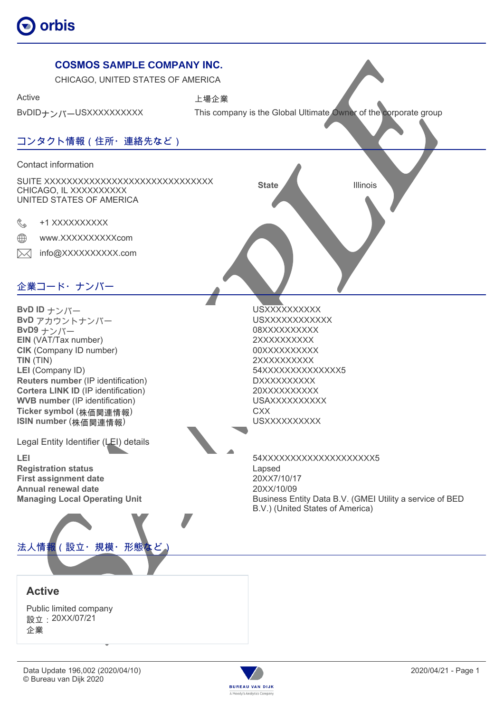



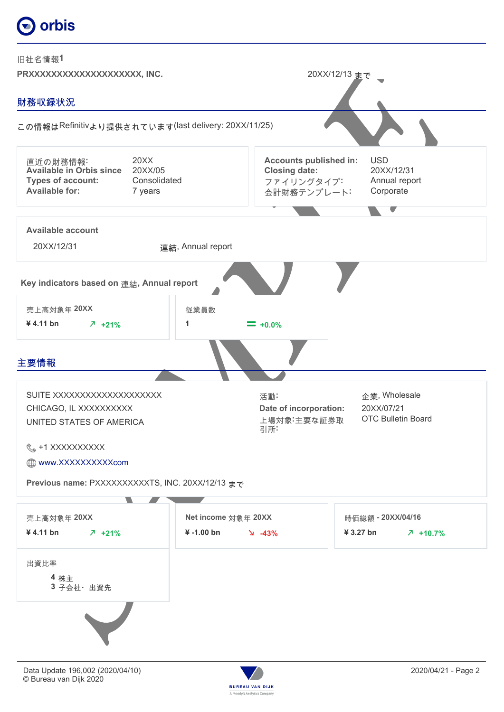# orbis



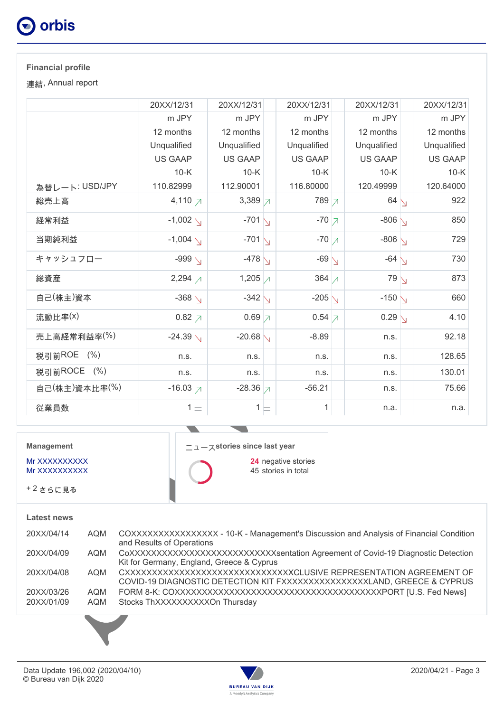

## **Financial profile**

連結, Annual report

|                | 20XX/12/31            | 20XX/12/31          | 20XX/12/31           | 20XX/12/31         | 20XX/12/31     |
|----------------|-----------------------|---------------------|----------------------|--------------------|----------------|
|                | m JPY                 | m JPY               | m JPY                | m JPY              | m JPY          |
|                | 12 months             | 12 months           | 12 months            | 12 months          | 12 months      |
|                | Unqualified           | Unqualified         | Unqualified          | Unqualified        | Unqualified    |
|                | <b>US GAAP</b>        | <b>US GAAP</b>      | <b>US GAAP</b>       | <b>US GAAP</b>     | <b>US GAAP</b> |
|                | $10-K$                | $10-K$              | $10-K$               | $10-K$             | $10-K$         |
| 為替レート: USD/JPY | 110.82999             | 112.90001           | 116.80000            | 120.49999          | 120.64000      |
| 総売上高           | 4,110 $\n  \  \big)$  | 3,389 $\n 7$        | 789 7                | $64 \setminus$     | 922            |
| 経常利益           | $-1,002$ $\backslash$ | $-701$ $\sqrt{ }$   | $-70$ $\overline{7}$ | $-806$ $\bigvee$   | 850            |
| 当期純利益          | $-1,004$ \            | $-701\sqrt{ }$      | $-70$ $\overline{7}$ | $-806\sqrt{ }$     | 729            |
| キャッシュフロー       | -999 $\backslash$     | $-478$ $\backslash$ | $-69$ $\sqrt{ }$     | $-64$ $\backslash$ | 730            |
| 総資産            | $2,294 \overline{7}$  | 1,205 $\neg$        | 364 $\neg$           | 79 <sub>1</sub>    | 873            |
| 自己(株主)資本       | $-368$ $\backslash$   | $-342$ $\bigvee$    | $-205$ $\backslash$  | $-150\sqrt{}$      | 660            |
| 流動比率(x)        | $0.82$ 7              | $0.69$ $\neg$       | $0.54 \times$        | $0.29\bigvee$      | 4.10           |
| 売上高経常利益率(%)    | $-24.39\sqrt{}$       | $-20.68$ $\sqrt{ }$ | $-8.89$              | n.s.               | 92.18          |
| 税引前ROE (%)     | n.s.                  | n.s.                | n.s.                 | n.s.               | 128.65         |
| 税引前ROCE (%)    | n.s.                  | n.s.                | n.s.                 | n.s.               | 130.01         |
| 自己(株主)資本比率(%)  | $-16.03$ 7            | $-28.36$ 7          | $-56.21$             | n.s.               | 75.66          |
| 従業員数           | $1 \models$           | $1 \models$         | 1                    | n.a.               | n.a.           |

**Management**

Mr XXXXXXXXXX Mr XXXXXXXXXX

+ 2 さらに見る

 $\overline{\phantom{a}}$ ニュース**stories since last year 24** negative stories

 $\blacksquare$ 

45 stories in total

### **Latest news**

| 20XX/04/14               | <b>AQM</b> | COXXXXXXXXXXXXXXX - 10-K - Management's Discussion and Analysis of Financial Condition<br>and Results of Operations                              |
|--------------------------|------------|--------------------------------------------------------------------------------------------------------------------------------------------------|
| 20XX/04/09               | AQM        | COXXXXXXXXXXXXXXXXXXXXXXXXXXXXXSentation Agreement of Covid-19 Diagnostic Detection<br>Kit for Germany, England, Greece & Cyprus                 |
| 20XX/04/08               | AQM        | CXXXXXXXXXXXXXXXXXXXXXXXXXXXXXXXXCLUSIVE REPRESENTATION AGREEMENT OF<br>COVID-19 DIAGNOSTIC DETECTION KIT FXXXXXXXXXXXXXXXXLAND, GREECE & CYPRUS |
| 20XX/03/26<br>20XX/01/09 | AQM<br>AQM | Stocks ThXXXXXXXXXXOn Thursday                                                                                                                   |
|                          |            |                                                                                                                                                  |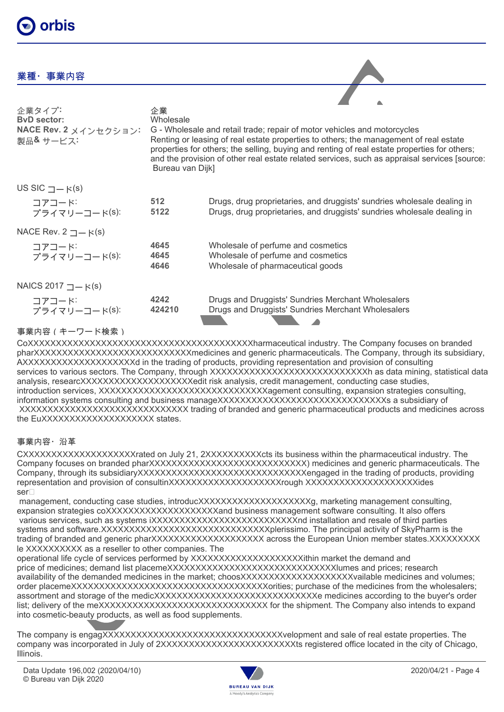# orbis

## 業種・事業内容

| 企業タイプ:<br><b>ByD</b> sector:<br>NACE Rev. 2 メインセクション:<br>製品& サービス: | 企業<br>Wholesale<br>Bureau van Dijk] | G - Wholesale and retail trade; repair of motor vehicles and motorcycles<br>Renting or leasing of real estate properties to others; the management of real estate<br>properties for others; the selling, buying and renting of real estate properties for others;<br>and the provision of other real estate related services, such as appraisal services [source: |
|--------------------------------------------------------------------|-------------------------------------|-------------------------------------------------------------------------------------------------------------------------------------------------------------------------------------------------------------------------------------------------------------------------------------------------------------------------------------------------------------------|
| US SIC $\Box - \kappa(s)$                                          |                                     |                                                                                                                                                                                                                                                                                                                                                                   |
| コアコード<br>プライマリーコード(S):                                             | 512<br>5122                         | Drugs, drug proprietaries, and druggists' sundries wholesale dealing in<br>Drugs, drug proprietaries, and druggists' sundries wholesale dealing in                                                                                                                                                                                                                |
| NACE Rev. $2 \underline{\square} - \kappa(s)$                      |                                     |                                                                                                                                                                                                                                                                                                                                                                   |
| コアコード<br>プライマリーコード(S):                                             | 4645<br>4645<br>4646                | Wholesale of perfume and cosmetics<br>Wholesale of perfume and cosmetics<br>Wholesale of pharmaceutical goods                                                                                                                                                                                                                                                     |
| NAICS 2017 $\Box$ $\vdash$ K(s)                                    |                                     |                                                                                                                                                                                                                                                                                                                                                                   |
| コアコード<br>プライマリーコード(S):                                             | 4242<br>424210                      | Drugs and Druggists' Sundries Merchant Wholesalers<br>Drugs and Druggists' Sundries Merchant Wholesalers                                                                                                                                                                                                                                                          |

## 事業内容(キーワード検索)

CoXXXXXXXXXXXXXXXXXXXXXXXXXXXXXXXXXXXXXXXXharmaceutical industry. The Company focuses on branded pharXXXXXXXXXXXXXXXXXXXXXXXXXXXXmedicines and generic pharmaceuticals. The Company, through its subsidiary, AXXXXXXXXXXXXXXXXXXXXd in the trading of products, providing representation and provision of consulting services to various sectors. The Company, through XXXXXXXXXXXXXXXXXXXXXXXXXXXX as data mining, statistical data analysis, researcXXXXXXXXXXXXXXXXXXXXedit risk analysis, credit management, conducting case studies, introduction services, XXXXXXXXXXXXXXXXXXXXXXXXXXXXXXXXAgement consulting, expansion strategies consulting, information systems consulting and business manageXXXXXXXXXXXXXXXXXXXXXXXXXXXXXX a subsidiary of XXXXXXXXXXXXXXXXXXXXXXXXXXXXXX trading of branded and generic pharmaceutical products and medicines across the EuXXXXXXXXXXXXXXXXXXX states.

### 事業内容・沿革

CXXXXXXXXXXXXXXXXXXXXrated on July 21, 2XXXXXXXXXXcts its business within the pharmaceutical industry. The Company focuses on branded pharXXXXXXXXXXXXXXXXXXXXXXXXXXXXXXXX medicines and generic pharmaceuticals. The Company, through its subsidiaryXXXXXXXXXXXXXXXXXXXXXXXXXXXXXXengaged in the trading of products, providing representation and provision of consultinXXXXXXXXXXXXXXXXXXXXYrough XXXXXXXXXXXXXXXXXXXXXXides ser

management, conducting case studies, introducXXXXXXXXXXXXXXXXXXXX, marketing management consulting, expansion strategies coXXXXXXXXXXXXXXXXXXXXXand business management software consulting. It also offers various services, such as systems iXXXXXXXXXXXXXXXXXXXXXXXXXXXX nd installation and resale of third parties systems and software.XXXXXXXXXXXXXXXXXXXXXXXXXXXXXXXXplerissimo. The principal activity of SkyPharm is the trading of branded and generic pharXXXXXXXXXXXXXXXXXXXX across the European Union member states.XXXXXXXXX le XXXXXXXXXX as a reseller to other companies. The

operational life cycle of services performed by XXXXXXXXXXXXXXXXXXXXithin market the demand and price of medicines; demand list placemeXXXXXXXXXXXXXXXXXXXXXXXXXXXXXIumes and prices; research availability of the demanded medicines in the market; choosXXXXXXXXXXXXXXXXXXXXXXVailable medicines and volumes; order placemeXXXXXXXXXXXXXXXXXXXXXXXXXXXXXXXXXXXorities; purchase of the medicines from the wholesalers; assortment and storage of the medicXXXXXXXXXXXXXXXXXXXXXXXXXXXXX e medicines according to the buyer's order list; delivery of the meXXXXXXXXXXXXXXXXXXXXXXXXXXXXXXXXX for the shipment. The Company also intends to expand into cosmetic-beauty products, as well as food supplements.

The company is engagXXXXXXXXXXXXXXXXXXXXXXXXXXXXXXXXvelopment and sale of real estate properties. The company was incorporated in July of 2XXXXXXXXXXXXXXXXXXXXXXXXts registered office located in the city of Chicago, Illinois.

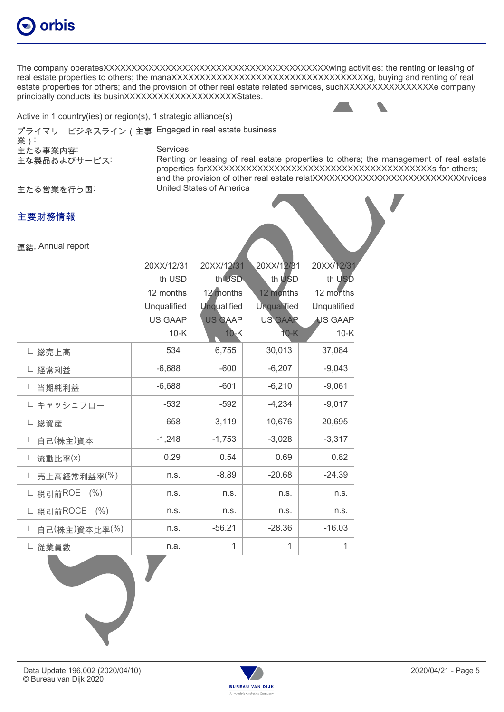

The company operatesXXXXXXXXXXXXXXXXXXXXXXXXXXXXXXXXXXXXXXXXwing activities: the renting or leasing of real estate properties to others; the manaXXXXXXXXXXXXXXXXXXXXXXXXXXXXXXXXXXXg, buying and renting of real estate properties for others; and the provision of other real estate related services, suchXXXXXXXXXXXXXXXXX company principally conducts its businXXXXXXXXXXXXXXXXXXXXStates.

Active in 1 country(ies) or region(s), 1 strategic alliance(s)

プライマリービジネスライン(主事 Engaged in real estate business

業): 主たる事業内容: Services

主な製品およびサービス: Renting or leasing of real estate properties to others; the management of real estate properties forXXXXXXXXXXXXXXXXXXXXXXXXXXXXXXXXXXXXXXXXs for others; and the provision of other real estate relatXXXXXXXXXXXXXXXXXXXXXXXXXXXrvices

主たる営業を行う国:

主要財務情報

連結, Annual report

20XX/12/31 20XX/12/31 20XX/12/31 20XX/12/31 th USD th USD th USD th USD 12 months 12 months 12 months 12 months Unqualified Unqualified Unqualified Unqualified US GAAP US GAAP US GAAP US GAAP 10-K 10-K 10-K 10-K ∟ 総売上高 534 | 6,755 | 30,013 | 37,084 ∟ 経常利益 -6,688 -600 -6,207 -9,043 ∟ 当期純利益 -6,688 -601 -6,210 -9,061 ∟ キャッシュフロー -532 -592 -4,234 -9,017 ∟ 総資産 658 3,119 10,676 20,695 ∟ 自己(株主)資本 → 1,248 | -1,753 | -3,028 | -3,317 ∟ 流動比率(x) 0.29 0.54 0.69 0.82 ∟ 売上高経常利益率(%) │ n.s. │ -8.89 │ -20.68 │ -24.39 ∟ 税引前ROE (%) n.s. n.s. n.s. n.s. ∟ 税引前ROCE (%) | n.s. | n.s. | n.s. | n.s. | n.s. ∟ 自己(株主)資本比率(%) | n.s. | -56.21 | -28.36 | -16.03 ∟ 従業員数 n.a. 1 1 1



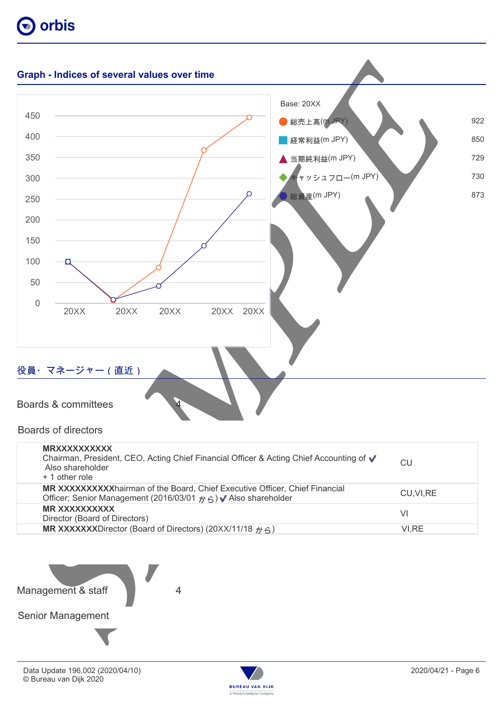



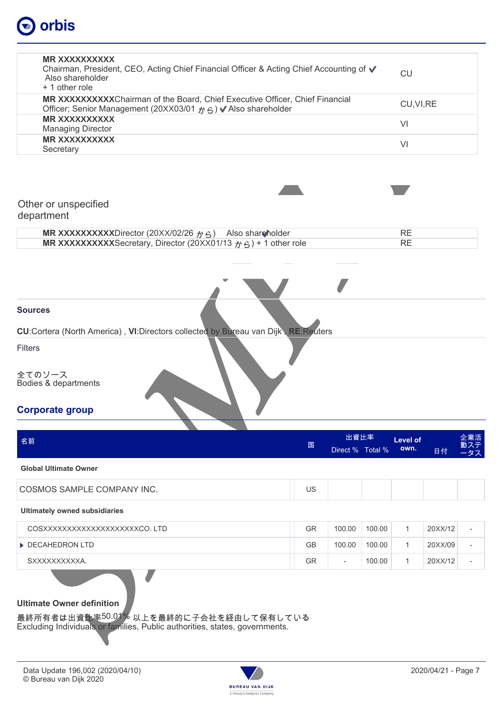# orbis

| <b>MR XXXXXXXXXX</b><br>Chairman, President, CEO, Acting Chief Financial Officer & Acting Chief Accounting of √<br>Also shareholder<br>+ 1 other role                 |               |                          |        | <b>CU</b>               |         |                          |
|-----------------------------------------------------------------------------------------------------------------------------------------------------------------------|---------------|--------------------------|--------|-------------------------|---------|--------------------------|
| MR XXXXXXXXXChairman of the Board, Chief Executive Officer, Chief Financial<br>Officer; Senior Management (20XX03/01 から) V Also shareholder                           |               | CU, VI, RE               |        |                         |         |                          |
| <b>MR XXXXXXXXXX</b><br><b>Managing Director</b>                                                                                                                      |               | VI                       |        |                         |         |                          |
| <b>MR XXXXXXXXXX</b><br>Secretary                                                                                                                                     |               |                          |        | VI                      |         |                          |
| Other or unspecified<br>department                                                                                                                                    |               |                          |        |                         |         |                          |
| MR XXXXXXXXXDirector (20XX/02/26 $\gamma$ 6) Also shareholder<br>MR XXXXXXXXXSecretary, Director (20XX01/13 $\hat{p}$ $\hat{p}$ ) + 1 other role                      |               |                          |        | <b>RE</b><br><b>RE</b>  |         |                          |
| <b>Filters</b><br>全てのソース<br>Bodies & departments<br><b>Corporate group</b>                                                                                            |               |                          |        |                         |         |                          |
| 名前                                                                                                                                                                    | $\boxed{\Xi}$ | 出資比率<br>Direct % Total % |        | <b>Level of</b><br>own. | 日付      | 企業活<br>ステ<br>タス          |
| <b>Global Ultimate Owner</b>                                                                                                                                          |               |                          |        |                         |         |                          |
| COSMOS SAMPLE COMPANY INC.                                                                                                                                            | US            |                          |        |                         |         |                          |
| <b>Ultimately owned subsidiaries</b>                                                                                                                                  |               |                          |        |                         |         |                          |
| COSXXXXXXXXXXXXXXXXXXXCO.LTD                                                                                                                                          | GR            | 100.00                   | 100.00 | 1                       | 20XX/12 |                          |
| DECAHEDRON LTD                                                                                                                                                        | <b>GB</b>     | 100.00                   | 100.00 | $\mathbf{1}$            | 20XX/09 | $\overline{\phantom{a}}$ |
| SXXXXXXXXXXA.                                                                                                                                                         | <b>GR</b>     | $\overline{\phantom{a}}$ | 100.00 | 1                       | 20XX/12 | $\overline{\phantom{a}}$ |
| <b>Ultimate Owner definition</b><br>最終所有者は出資比率 <sup>50.01</sup> 》以上を最終的に子会社を経由して保有している<br>Excluding Individuals or families, Public authorities, states, governments. |               |                          |        |                         |         |                          |

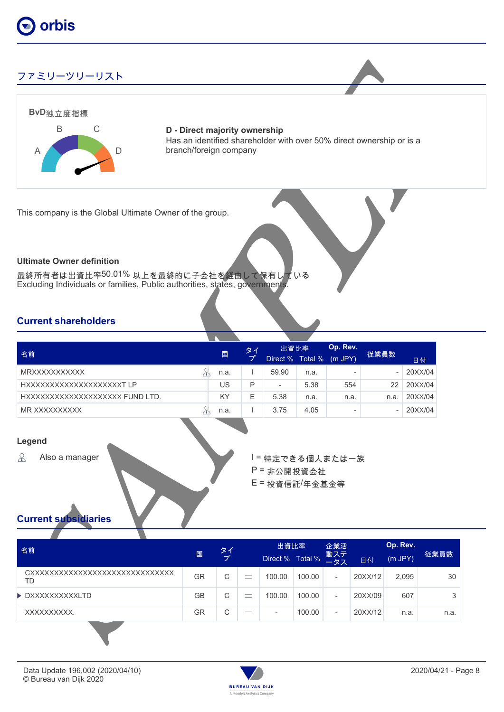

## ファミリーツリーリスト



**D - Direct majority ownership** Has an identified shareholder with over 50% direct ownership or is a branch/foreign company

This company is the Global Ultimate Owner of the group.

#### **Ultimate Owner definition**

最終所有者は出資比率50.01% 以上を最終的に子会社を経由して保有している Excluding Individuals or families, Public authorities, states, governments.

## **Current shareholders**

|                                 |  | 国    | タイ | 出資比率                     |      | Op. Rev.                 |      |         |
|---------------------------------|--|------|----|--------------------------|------|--------------------------|------|---------|
| 名前                              |  |      |    | Direct % Total %         |      | $(m$ JPY $)$             | 従業員数 | 日付      |
| <b>MRXXXXXXXXXXX</b>            |  | n.a. |    | 59.90                    | n.a. | $\overline{\phantom{a}}$ |      | 20XX/04 |
| HXXXXXXXXXXXXXXXXXXXXT LP       |  | US   | D  | $\overline{\phantom{a}}$ | 5.38 | 554                      | 22   | 20XX/04 |
| HXXXXXXXXXXXXXXXXXXXX FUND LTD. |  | KY   | Е  | 5.38                     | n.a. | n.a.                     | n.a  | 20XX/04 |
| MR XXXXXXXXXX                   |  | n.a. |    | 3.75                     | 4.05 | $\overline{\phantom{0}}$ | -    | 20XX/04 |

#### **Legend**

 $\mathcal{S}$ 

Also a manager New York コーヒー I = 特定できる個人または一族 P = 非公開投資会社 E = 投資信託/年金基金等

## **Current subsidiaries**

| 名前                                     |           | タイ |                                | 出資比率             |        | 企業活                      |         |         |      |  |
|----------------------------------------|-----------|----|--------------------------------|------------------|--------|--------------------------|---------|---------|------|--|
|                                        | 国         | ヺ  |                                | Direct % Total % |        | 動ステ<br>ータス               | 日付      | (m JPY) | 従業員数 |  |
| CXXXXXXXXXXXXXXXXXXXXXXXXXXXXXXX<br>TD | GR        | C  | $\overline{\phantom{a}}$<br>-  | 100.00           | 100.00 | $\overline{\phantom{a}}$ | 20XX/12 | 2,095   | 30   |  |
| ▶ DXXXXXXXXXXLTD                       | <b>GB</b> | С  | $\overline{\phantom{a}}$       | 100.00           | 100.00 | $\overline{\phantom{a}}$ | 20XX/09 | 607     | 3    |  |
| XXXXXXXXXX.                            | GR        | С  | $\overline{\phantom{a}}$<br>-- | -                | 100.00 | $\overline{\phantom{0}}$ | 20XX/12 | n.a.    | n.a. |  |

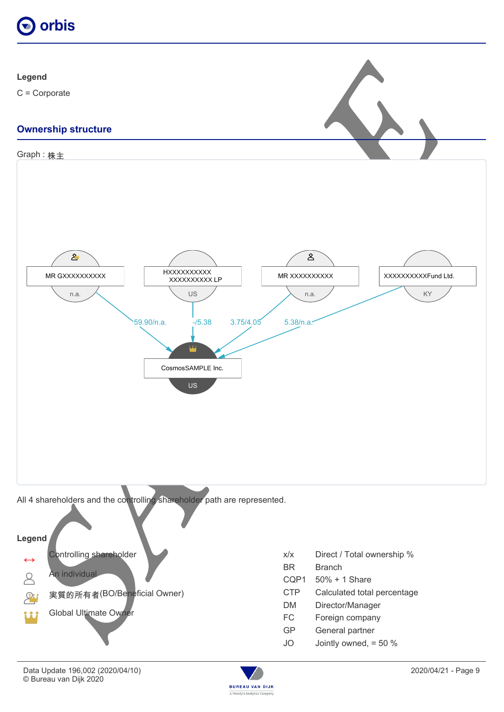



C = Corporate

# **Ownership structure**



 $\mathcal{P}$ 



- 
- 実質的所有者(BO/Beneficial Owner) CTP Calculated total percentage
	- Director/Manager
	-
	- GP General partner
	- JO Jointly owned, = 50 %